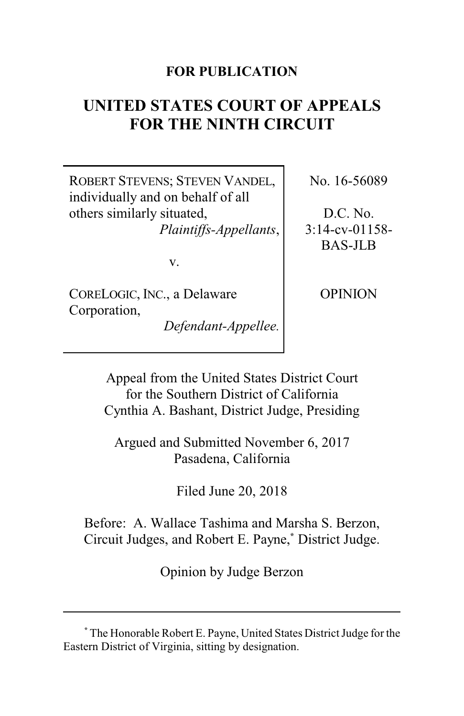## **FOR PUBLICATION**

# **UNITED STATES COURT OF APPEALS FOR THE NINTH CIRCUIT**

ROBERT STEVENS; STEVEN VANDEL, individually and on behalf of all others similarly situated, *Plaintiffs-Appellants*,

v.

CORELOGIC, INC., a Delaware Corporation,

*Defendant-Appellee.*

No. 16-56089

D.C. No. 3:14-cv-01158- BAS-JLB

OPINION

Appeal from the United States District Court for the Southern District of California Cynthia A. Bashant, District Judge, Presiding

Argued and Submitted November 6, 2017 Pasadena, California

Filed June 20, 2018

Before: A. Wallace Tashima and Marsha S. Berzon, Circuit Judges, and Robert E. Payne,**\*** District Judge.

Opinion by Judge Berzon

**<sup>\*</sup>** The Honorable Robert E. Payne, United States District Judge for the Eastern District of Virginia, sitting by designation.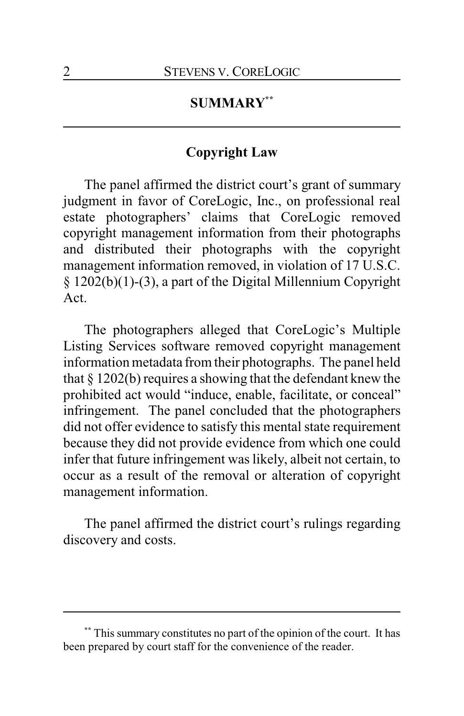# **SUMMARY\*\***

### **Copyright Law**

The panel affirmed the district court's grant of summary judgment in favor of CoreLogic, Inc., on professional real estate photographers' claims that CoreLogic removed copyright management information from their photographs and distributed their photographs with the copyright management information removed, in violation of 17 U.S.C. § 1202(b)(1)-(3), a part of the Digital Millennium Copyright Act.

The photographers alleged that CoreLogic's Multiple Listing Services software removed copyright management information metadata from their photographs. The panel held that § 1202(b) requires a showing that the defendant knew the prohibited act would "induce, enable, facilitate, or conceal" infringement. The panel concluded that the photographers did not offer evidence to satisfy this mental state requirement because they did not provide evidence from which one could infer that future infringement was likely, albeit not certain, to occur as a result of the removal or alteration of copyright management information.

The panel affirmed the district court's rulings regarding discovery and costs.

**<sup>\*\*</sup>** This summary constitutes no part of the opinion of the court. It has been prepared by court staff for the convenience of the reader.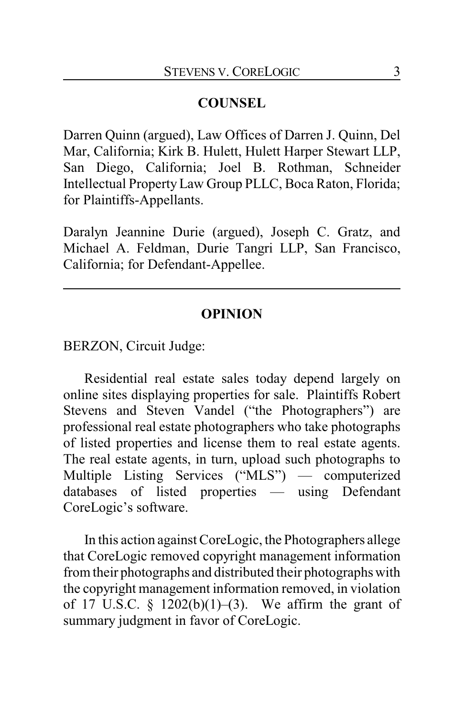# **COUNSEL**

Darren Quinn (argued), Law Offices of Darren J. Quinn, Del Mar, California; Kirk B. Hulett, Hulett Harper Stewart LLP, San Diego, California; Joel B. Rothman, Schneider Intellectual PropertyLaw Group PLLC, Boca Raton, Florida; for Plaintiffs-Appellants.

Daralyn Jeannine Durie (argued), Joseph C. Gratz, and Michael A. Feldman, Durie Tangri LLP, San Francisco, California; for Defendant-Appellee.

### **OPINION**

BERZON, Circuit Judge:

Residential real estate sales today depend largely on online sites displaying properties for sale. Plaintiffs Robert Stevens and Steven Vandel ("the Photographers") are professional real estate photographers who take photographs of listed properties and license them to real estate agents. The real estate agents, in turn, upload such photographs to Multiple Listing Services ("MLS") — computerized databases of listed properties — using Defendant CoreLogic's software.

In this action against CoreLogic, the Photographers allege that CoreLogic removed copyright management information from their photographs and distributed their photographs with the copyright management information removed, in violation of 17 U.S.C.  $\S$  1202(b)(1)–(3). We affirm the grant of summary judgment in favor of CoreLogic.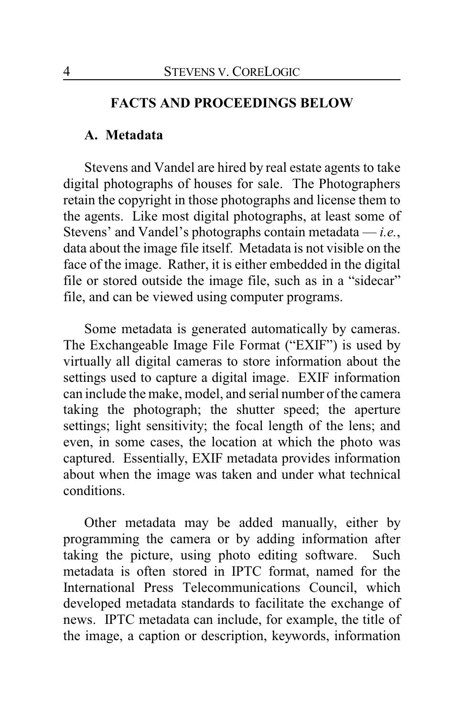#### **FACTS AND PROCEEDINGS BELOW**

#### **A. Metadata**

Stevens and Vandel are hired by real estate agents to take digital photographs of houses for sale. The Photographers retain the copyright in those photographs and license them to the agents. Like most digital photographs, at least some of Stevens' and Vandel's photographs contain metadata — *i.e.*, data about the image file itself. Metadata is not visible on the face of the image. Rather, it is either embedded in the digital file or stored outside the image file, such as in a "sidecar" file, and can be viewed using computer programs.

Some metadata is generated automatically by cameras. The Exchangeable Image File Format ("EXIF") is used by virtually all digital cameras to store information about the settings used to capture a digital image. EXIF information can include the make, model, and serial number of the camera taking the photograph; the shutter speed; the aperture settings; light sensitivity; the focal length of the lens; and even, in some cases, the location at which the photo was captured. Essentially, EXIF metadata provides information about when the image was taken and under what technical conditions.

Other metadata may be added manually, either by programming the camera or by adding information after taking the picture, using photo editing software. Such metadata is often stored in IPTC format, named for the International Press Telecommunications Council, which developed metadata standards to facilitate the exchange of news. IPTC metadata can include, for example, the title of the image, a caption or description, keywords, information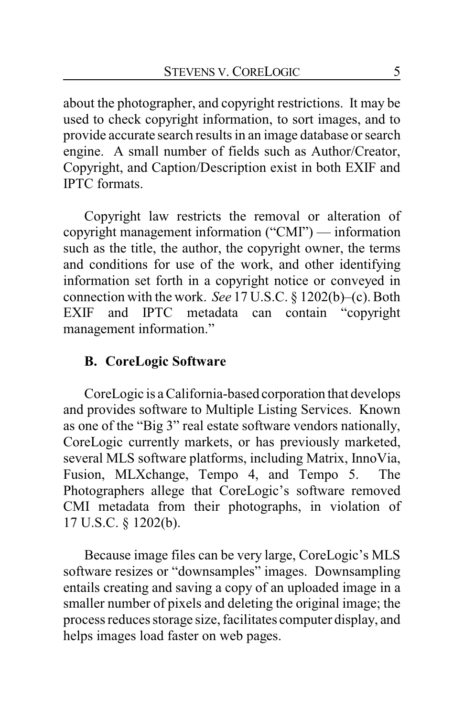about the photographer, and copyright restrictions. It may be used to check copyright information, to sort images, and to provide accurate search results in an image database or search engine. A small number of fields such as Author/Creator, Copyright, and Caption/Description exist in both EXIF and IPTC formats.

Copyright law restricts the removal or alteration of copyright management information ("CMI") — information such as the title, the author, the copyright owner, the terms and conditions for use of the work, and other identifying information set forth in a copyright notice or conveyed in connection with the work. *See* 17 U.S.C. § 1202(b)–(c). Both EXIF and IPTC metadata can contain "copyright management information."

# **B. CoreLogic Software**

CoreLogic is a California-based corporation that develops and provides software to Multiple Listing Services. Known as one of the "Big 3" real estate software vendors nationally, CoreLogic currently markets, or has previously marketed, several MLS software platforms, including Matrix, InnoVia, Fusion, MLXchange, Tempo 4, and Tempo 5. The Photographers allege that CoreLogic's software removed CMI metadata from their photographs, in violation of 17 U.S.C. § 1202(b).

Because image files can be very large, CoreLogic's MLS software resizes or "downsamples" images. Downsampling entails creating and saving a copy of an uploaded image in a smaller number of pixels and deleting the original image; the process reduces storage size, facilitates computer display, and helps images load faster on web pages.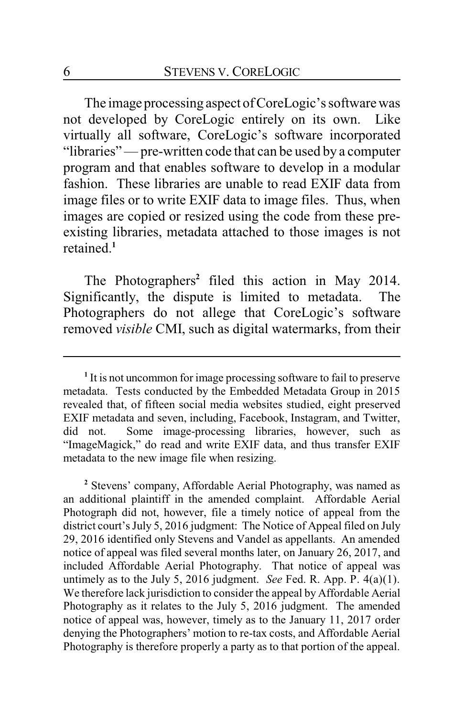The image processing aspect of CoreLogic's software was not developed by CoreLogic entirely on its own. Like virtually all software, CoreLogic's software incorporated "libraries" — pre-written code that can be used by a computer program and that enables software to develop in a modular fashion. These libraries are unable to read EXIF data from image files or to write EXIF data to image files. Thus, when images are copied or resized using the code from these preexisting libraries, metadata attached to those images is not retained.**<sup>1</sup>**

The Photographers**<sup>2</sup>** filed this action in May 2014. Significantly, the dispute is limited to metadata. The Photographers do not allege that CoreLogic's software removed *visible* CMI, such as digital watermarks, from their

**<sup>2</sup>** Stevens' company, Affordable Aerial Photography, was named as an additional plaintiff in the amended complaint. Affordable Aerial Photograph did not, however, file a timely notice of appeal from the district court's July 5, 2016 judgment: The Notice of Appeal filed on July 29, 2016 identified only Stevens and Vandel as appellants. An amended notice of appeal was filed several months later, on January 26, 2017, and included Affordable Aerial Photography. That notice of appeal was untimely as to the July 5, 2016 judgment. *See* Fed. R. App. P. 4(a)(1). We therefore lack jurisdiction to consider the appeal by Affordable Aerial Photography as it relates to the July 5, 2016 judgment. The amended notice of appeal was, however, timely as to the January 11, 2017 order denying the Photographers' motion to re-tax costs, and Affordable Aerial Photography is therefore properly a party as to that portion of the appeal.

**<sup>1</sup>** It is not uncommon for image processing software to fail to preserve metadata. Tests conducted by the Embedded Metadata Group in 2015 revealed that, of fifteen social media websites studied, eight preserved EXIF metadata and seven, including, Facebook, Instagram, and Twitter, did not. Some image-processing libraries, however, such as "ImageMagick," do read and write EXIF data, and thus transfer EXIF metadata to the new image file when resizing.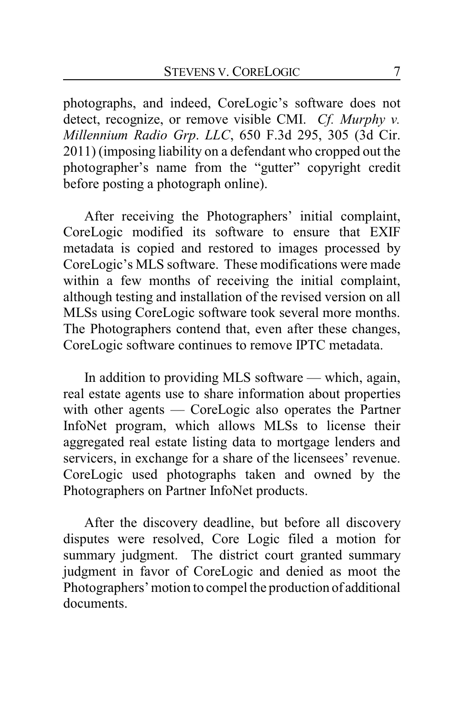photographs, and indeed, CoreLogic's software does not detect, recognize, or remove visible CMI. *Cf. Murphy v. Millennium Radio Grp*. *LLC*, 650 F.3d 295, 305 (3d Cir. 2011) (imposing liability on a defendant who cropped out the photographer's name from the "gutter" copyright credit before posting a photograph online).

After receiving the Photographers' initial complaint, CoreLogic modified its software to ensure that EXIF metadata is copied and restored to images processed by CoreLogic's MLS software. These modifications were made within a few months of receiving the initial complaint, although testing and installation of the revised version on all MLSs using CoreLogic software took several more months. The Photographers contend that, even after these changes, CoreLogic software continues to remove IPTC metadata.

In addition to providing MLS software — which, again, real estate agents use to share information about properties with other agents — CoreLogic also operates the Partner InfoNet program, which allows MLSs to license their aggregated real estate listing data to mortgage lenders and servicers, in exchange for a share of the licensees' revenue. CoreLogic used photographs taken and owned by the Photographers on Partner InfoNet products.

After the discovery deadline, but before all discovery disputes were resolved, Core Logic filed a motion for summary judgment. The district court granted summary judgment in favor of CoreLogic and denied as moot the Photographers' motion to compel the production of additional documents.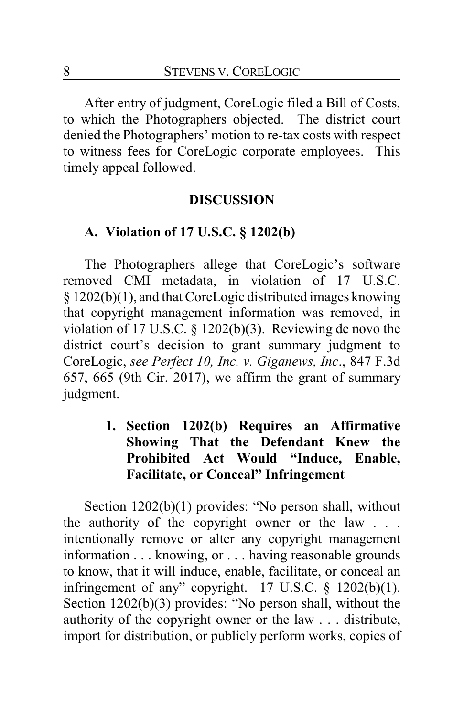After entry of judgment, CoreLogic filed a Bill of Costs, to which the Photographers objected. The district court denied the Photographers' motion to re-tax costs with respect to witness fees for CoreLogic corporate employees. This timely appeal followed.

#### **DISCUSSION**

#### **A. Violation of 17 U.S.C. § 1202(b)**

The Photographers allege that CoreLogic's software removed CMI metadata, in violation of 17 U.S.C. § 1202(b)(1), and that CoreLogic distributed images knowing that copyright management information was removed, in violation of 17 U.S.C. § 1202(b)(3). Reviewing de novo the district court's decision to grant summary judgment to CoreLogic, *see Perfect 10, Inc. v. Giganews, Inc*., 847 F.3d 657, 665 (9th Cir. 2017), we affirm the grant of summary judgment.

# **1. Section 1202(b) Requires an Affirmative Showing That the Defendant Knew the Prohibited Act Would "Induce, Enable, Facilitate, or Conceal" Infringement**

Section 1202(b)(1) provides: "No person shall, without the authority of the copyright owner or the law . . . intentionally remove or alter any copyright management information . . . knowing, or . . . having reasonable grounds to know, that it will induce, enable, facilitate, or conceal an infringement of any" copyright.  $17 \text{ U.S.C. }$  §  $1202(b)(1)$ . Section 1202(b)(3) provides: "No person shall, without the authority of the copyright owner or the law . . . distribute, import for distribution, or publicly perform works, copies of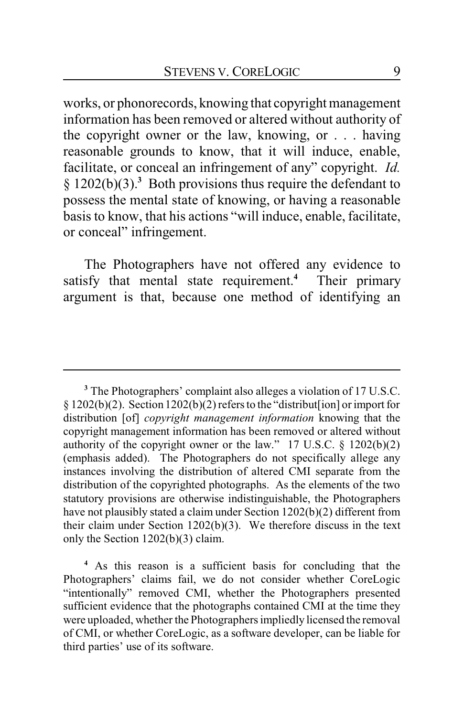works, or phonorecords, knowing that copyright management information has been removed or altered without authority of the copyright owner or the law, knowing, or . . . having reasonable grounds to know, that it will induce, enable, facilitate, or conceal an infringement of any" copyright. *Id.* § 1202(b)(3).**<sup>3</sup>** Both provisions thus require the defendant to possess the mental state of knowing, or having a reasonable basis to know, that his actions "will induce, enable, facilitate, or conceal" infringement.

The Photographers have not offered any evidence to satisfy that mental state requirement.**<sup>4</sup>** Their primary argument is that, because one method of identifying an

**<sup>3</sup>** The Photographers' complaint also alleges a violation of 17 U.S.C.  $\S 1202(b)(2)$ . Section  $1202(b)(2)$  refers to the "distribut [ion] or import for distribution [of] *copyright management information* knowing that the copyright management information has been removed or altered without authority of the copyright owner or the law." 17 U.S.C.  $\S$  1202(b)(2) (emphasis added). The Photographers do not specifically allege any instances involving the distribution of altered CMI separate from the distribution of the copyrighted photographs. As the elements of the two statutory provisions are otherwise indistinguishable, the Photographers have not plausibly stated a claim under Section 1202(b)(2) different from their claim under Section 1202(b)(3). We therefore discuss in the text only the Section 1202(b)(3) claim.

**<sup>4</sup>** As this reason is a sufficient basis for concluding that the Photographers' claims fail, we do not consider whether CoreLogic "intentionally" removed CMI, whether the Photographers presented sufficient evidence that the photographs contained CMI at the time they were uploaded, whether the Photographers impliedly licensed the removal of CMI, or whether CoreLogic, as a software developer, can be liable for third parties' use of its software.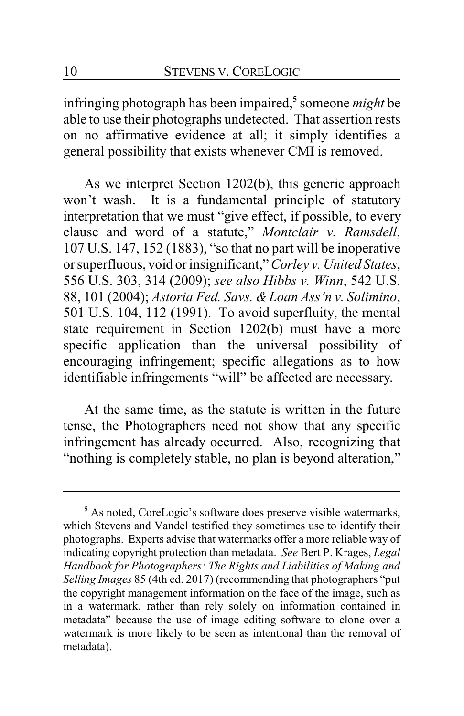infringing photograph has been impaired,**<sup>5</sup>** someone *might* be able to use their photographs undetected. That assertion rests on no affirmative evidence at all; it simply identifies a general possibility that exists whenever CMI is removed.

As we interpret Section 1202(b), this generic approach won't wash. It is a fundamental principle of statutory interpretation that we must "give effect, if possible, to every clause and word of a statute," *Montclair v. Ramsdell*, 107 U.S. 147, 152 (1883), "so that no part will be inoperative or superfluous, void or insignificant," *Corley v. United States*, 556 U.S. 303, 314 (2009); *see also Hibbs v. Winn*, 542 U.S. 88, 101 (2004); *Astoria Fed. Savs. &Loan Ass'n v. Solimino*, 501 U.S. 104, 112 (1991). To avoid superfluity, the mental state requirement in Section 1202(b) must have a more specific application than the universal possibility of encouraging infringement; specific allegations as to how identifiable infringements "will" be affected are necessary.

At the same time, as the statute is written in the future tense, the Photographers need not show that any specific infringement has already occurred. Also, recognizing that "nothing is completely stable, no plan is beyond alteration,"

<sup>&</sup>lt;sup>5</sup> As noted, CoreLogic's software does preserve visible watermarks, which Stevens and Vandel testified they sometimes use to identify their photographs. Experts advise that watermarks offer a more reliable way of indicating copyright protection than metadata. *See* Bert P. Krages, *Legal Handbook for Photographers: The Rights and Liabilities of Making and Selling Images* 85 (4th ed. 2017) (recommending that photographers "put the copyright management information on the face of the image, such as in a watermark, rather than rely solely on information contained in metadata" because the use of image editing software to clone over a watermark is more likely to be seen as intentional than the removal of metadata).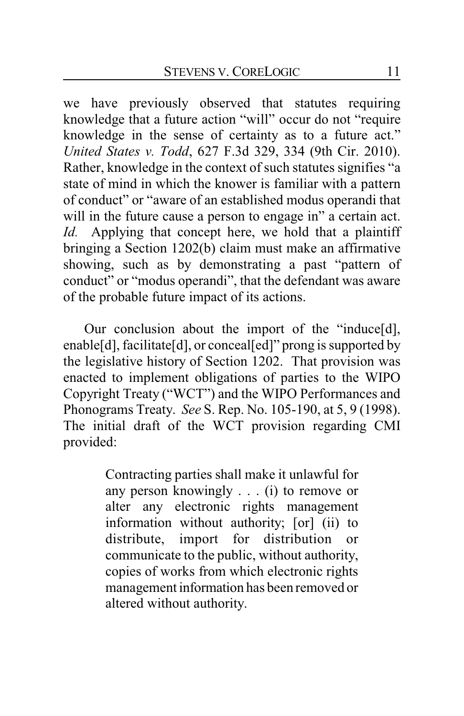we have previously observed that statutes requiring knowledge that a future action "will" occur do not "require knowledge in the sense of certainty as to a future act." *United States v. Todd*, 627 F.3d 329, 334 (9th Cir. 2010). Rather, knowledge in the context of such statutes signifies "a state of mind in which the knower is familiar with a pattern of conduct" or "aware of an established modus operandi that will in the future cause a person to engage in" a certain act. *Id.* Applying that concept here, we hold that a plaintiff bringing a Section 1202(b) claim must make an affirmative showing, such as by demonstrating a past "pattern of conduct" or "modus operandi", that the defendant was aware of the probable future impact of its actions.

Our conclusion about the import of the "induce[d], enable[d], facilitate[d], or conceal[ed]" prong is supported by the legislative history of Section 1202. That provision was enacted to implement obligations of parties to the WIPO Copyright Treaty ("WCT") and the WIPO Performances and Phonograms Treaty. *See* S. Rep. No. 105-190, at 5, 9 (1998). The initial draft of the WCT provision regarding CMI provided:

> Contracting parties shall make it unlawful for any person knowingly . . . (i) to remove or alter any electronic rights management information without authority; [or] (ii) to distribute, import for distribution or communicate to the public, without authority, copies of works from which electronic rights management information has been removed or altered without authority.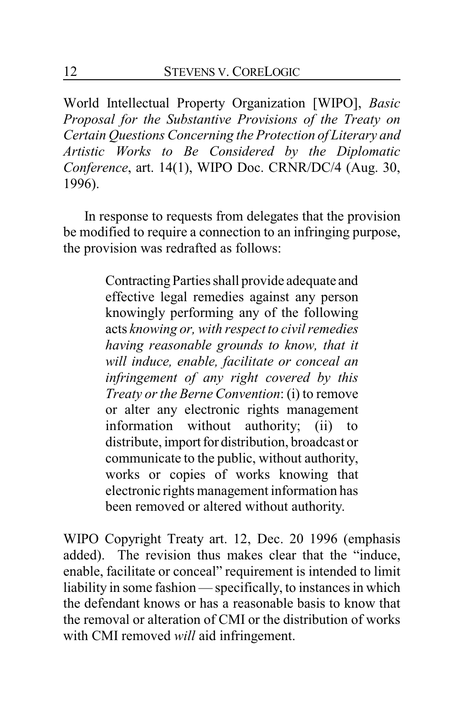World Intellectual Property Organization [WIPO], *Basic Proposal for the Substantive Provisions of the Treaty on Certain Questions Concerning the Protection of Literary and Artistic Works to Be Considered by the Diplomatic Conference*, art. 14(1), WIPO Doc. CRNR/DC/4 (Aug. 30, 1996).

In response to requests from delegates that the provision be modified to require a connection to an infringing purpose, the provision was redrafted as follows:

> Contracting Parties shall provide adequate and effective legal remedies against any person knowingly performing any of the following acts *knowing or, with respect to civil remedies having reasonable grounds to know, that it will induce, enable, facilitate or conceal an infringement of any right covered by this Treaty or the Berne Convention*: (i) to remove or alter any electronic rights management information without authority; (ii) to distribute, import for distribution, broadcast or communicate to the public, without authority, works or copies of works knowing that electronic rights management information has been removed or altered without authority.

WIPO Copyright Treaty art. 12, Dec. 20 1996 (emphasis added). The revision thus makes clear that the "induce, enable, facilitate or conceal" requirement is intended to limit liability in some fashion — specifically, to instances in which the defendant knows or has a reasonable basis to know that the removal or alteration of CMI or the distribution of works with CMI removed *will* aid infringement.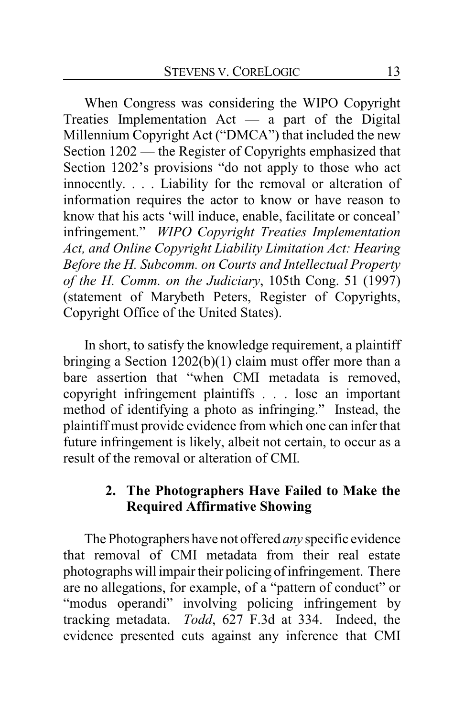When Congress was considering the WIPO Copyright Treaties Implementation Act — a part of the Digital Millennium Copyright Act ("DMCA") that included the new Section 1202 — the Register of Copyrights emphasized that Section 1202's provisions "do not apply to those who act innocently. . . . Liability for the removal or alteration of information requires the actor to know or have reason to know that his acts 'will induce, enable, facilitate or conceal' infringement." *WIPO Copyright Treaties Implementation Act, and Online Copyright Liability Limitation Act: Hearing Before the H. Subcomm. on Courts and Intellectual Property of the H. Comm. on the Judiciary*, 105th Cong. 51 (1997) (statement of Marybeth Peters, Register of Copyrights, Copyright Office of the United States).

In short, to satisfy the knowledge requirement, a plaintiff bringing a Section 1202(b)(1) claim must offer more than a bare assertion that "when CMI metadata is removed, copyright infringement plaintiffs . . . lose an important method of identifying a photo as infringing." Instead, the plaintiff must provide evidence from which one can infer that future infringement is likely, albeit not certain, to occur as a result of the removal or alteration of CMI.

# **2. The Photographers Have Failed to Make the Required Affirmative Showing**

The Photographers have not offered *any* specific evidence that removal of CMI metadata from their real estate photographs will impair their policing of infringement. There are no allegations, for example, of a "pattern of conduct" or "modus operandi" involving policing infringement by tracking metadata. *Todd*, 627 F.3d at 334. Indeed, the evidence presented cuts against any inference that CMI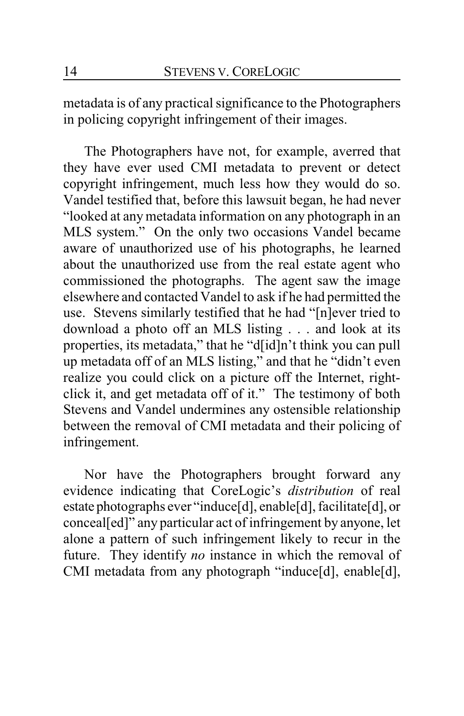metadata is of any practical significance to the Photographers in policing copyright infringement of their images.

The Photographers have not, for example, averred that they have ever used CMI metadata to prevent or detect copyright infringement, much less how they would do so. Vandel testified that, before this lawsuit began, he had never "looked at any metadata information on any photograph in an MLS system." On the only two occasions Vandel became aware of unauthorized use of his photographs, he learned about the unauthorized use from the real estate agent who commissioned the photographs. The agent saw the image elsewhere and contacted Vandel to ask if he had permitted the use. Stevens similarly testified that he had "[n]ever tried to download a photo off an MLS listing . . . and look at its properties, its metadata," that he "d[id]n't think you can pull up metadata off of an MLS listing," and that he "didn't even realize you could click on a picture off the Internet, rightclick it, and get metadata off of it." The testimony of both Stevens and Vandel undermines any ostensible relationship between the removal of CMI metadata and their policing of infringement.

Nor have the Photographers brought forward any evidence indicating that CoreLogic's *distribution* of real estate photographs ever "induce[d], enable[d], facilitate[d], or conceal[ed]" any particular act of infringement by anyone, let alone a pattern of such infringement likely to recur in the future. They identify *no* instance in which the removal of CMI metadata from any photograph "induce[d], enable[d],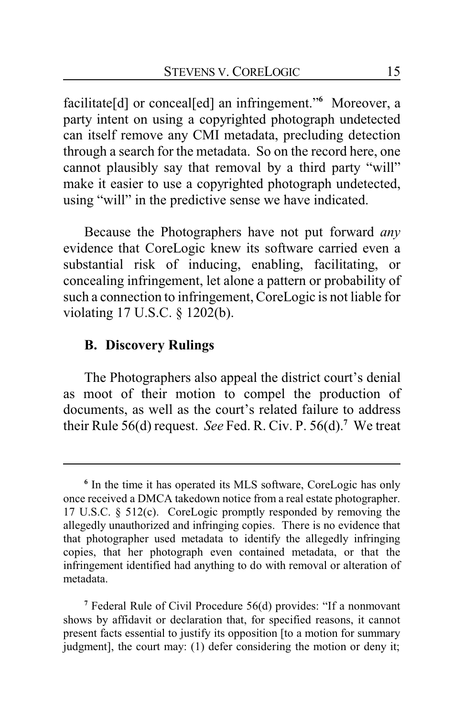facilitate[d] or conceal[ed] an infringement."**<sup>6</sup>** Moreover, a party intent on using a copyrighted photograph undetected can itself remove any CMI metadata, precluding detection through a search for the metadata. So on the record here, one cannot plausibly say that removal by a third party "will" make it easier to use a copyrighted photograph undetected, using "will" in the predictive sense we have indicated.

Because the Photographers have not put forward *any* evidence that CoreLogic knew its software carried even a substantial risk of inducing, enabling, facilitating, or concealing infringement, let alone a pattern or probability of such a connection to infringement, CoreLogic is not liable for violating 17 U.S.C. § 1202(b).

### **B. Discovery Rulings**

The Photographers also appeal the district court's denial as moot of their motion to compel the production of documents, as well as the court's related failure to address their Rule 56(d) request. *See* Fed. R. Civ. P. 56(d).**<sup>7</sup>** We treat

**<sup>6</sup>** In the time it has operated its MLS software, CoreLogic has only once received a DMCA takedown notice from a real estate photographer. 17 U.S.C. § 512(c). CoreLogic promptly responded by removing the allegedly unauthorized and infringing copies. There is no evidence that that photographer used metadata to identify the allegedly infringing copies, that her photograph even contained metadata, or that the infringement identified had anything to do with removal or alteration of metadata.

**<sup>7</sup>** Federal Rule of Civil Procedure 56(d) provides: "If a nonmovant shows by affidavit or declaration that, for specified reasons, it cannot present facts essential to justify its opposition [to a motion for summary judgment], the court may: (1) defer considering the motion or deny it;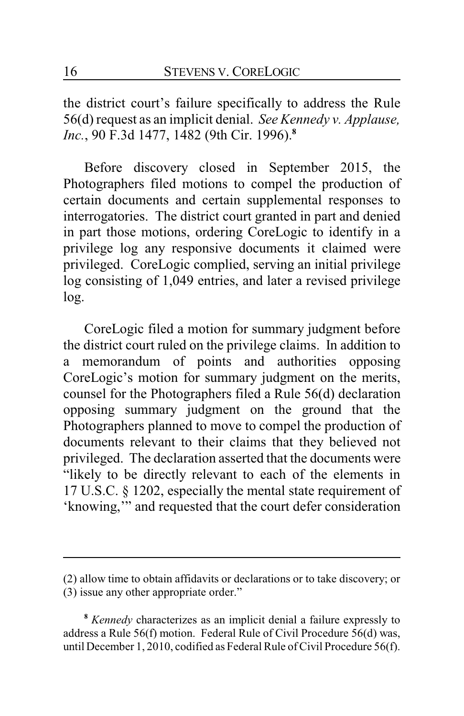the district court's failure specifically to address the Rule 56(d) request as an implicit denial. *See Kennedy v. Applause, Inc.*, 90 F.3d 1477, 1482 (9th Cir. 1996).**<sup>8</sup>**

Before discovery closed in September 2015, the Photographers filed motions to compel the production of certain documents and certain supplemental responses to interrogatories. The district court granted in part and denied in part those motions, ordering CoreLogic to identify in a privilege log any responsive documents it claimed were privileged. CoreLogic complied, serving an initial privilege log consisting of 1,049 entries, and later a revised privilege log.

CoreLogic filed a motion for summary judgment before the district court ruled on the privilege claims. In addition to a memorandum of points and authorities opposing CoreLogic's motion for summary judgment on the merits, counsel for the Photographers filed a Rule 56(d) declaration opposing summary judgment on the ground that the Photographers planned to move to compel the production of documents relevant to their claims that they believed not privileged. The declaration asserted that the documents were "likely to be directly relevant to each of the elements in 17 U.S.C. § 1202, especially the mental state requirement of 'knowing,'" and requested that the court defer consideration

**<sup>8</sup>** *Kennedy* characterizes as an implicit denial a failure expressly to address a Rule 56(f) motion. Federal Rule of Civil Procedure 56(d) was, until December 1, 2010, codified as Federal Rule of Civil Procedure 56(f).

<sup>(2)</sup> allow time to obtain affidavits or declarations or to take discovery; or

<sup>(3)</sup> issue any other appropriate order."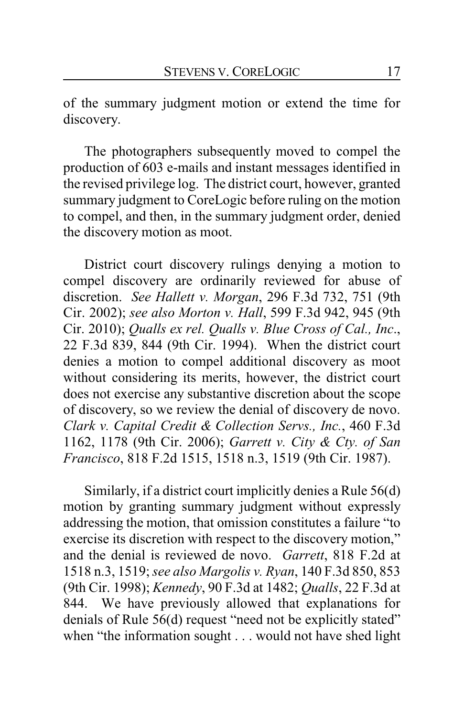of the summary judgment motion or extend the time for discovery.

The photographers subsequently moved to compel the production of 603 e-mails and instant messages identified in the revised privilege log. The district court, however, granted summary judgment to CoreLogic before ruling on the motion to compel, and then, in the summary judgment order, denied the discovery motion as moot.

District court discovery rulings denying a motion to compel discovery are ordinarily reviewed for abuse of discretion. *See Hallett v. Morgan*, 296 F.3d 732, 751 (9th Cir. 2002); *see also Morton v. Hall*, 599 F.3d 942, 945 (9th Cir. 2010); *Qualls ex rel. Qualls v. Blue Cross of Cal., Inc*., 22 F.3d 839, 844 (9th Cir. 1994). When the district court denies a motion to compel additional discovery as moot without considering its merits, however, the district court does not exercise any substantive discretion about the scope of discovery, so we review the denial of discovery de novo. *Clark v. Capital Credit & Collection Servs., Inc.*, 460 F.3d 1162, 1178 (9th Cir. 2006); *Garrett v. City & Cty. of San Francisco*, 818 F.2d 1515, 1518 n.3, 1519 (9th Cir. 1987).

Similarly, if a district court implicitly denies a Rule 56(d) motion by granting summary judgment without expressly addressing the motion, that omission constitutes a failure "to exercise its discretion with respect to the discovery motion," and the denial is reviewed de novo. *Garrett*, 818 F.2d at 1518 n.3, 1519;*see also Margolis v. Ryan*, 140 F.3d 850, 853 (9th Cir. 1998); *Kennedy*, 90 F.3d at 1482; *Qualls*, 22 F.3d at 844. We have previously allowed that explanations for denials of Rule 56(d) request "need not be explicitly stated" when "the information sought . . . would not have shed light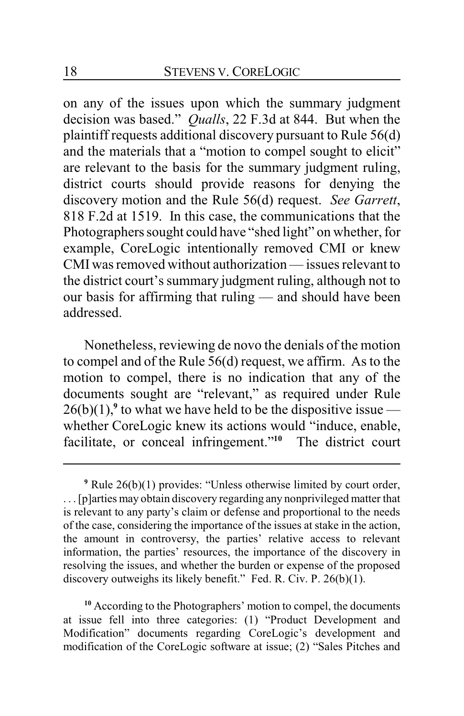on any of the issues upon which the summary judgment decision was based." *Qualls*, 22 F.3d at 844. But when the plaintiff requests additional discovery pursuant to Rule 56(d) and the materials that a "motion to compel sought to elicit" are relevant to the basis for the summary judgment ruling, district courts should provide reasons for denying the discovery motion and the Rule 56(d) request. *See Garrett*, 818 F.2d at 1519. In this case, the communications that the Photographers sought could have "shed light" on whether, for example, CoreLogic intentionally removed CMI or knew CMI was removed without authorization — issues relevant to the district court's summary judgment ruling, although not to our basis for affirming that ruling — and should have been addressed.

Nonetheless, reviewing de novo the denials of the motion to compel and of the Rule 56(d) request, we affirm. As to the motion to compel, there is no indication that any of the documents sought are "relevant," as required under Rule  $26(b)(1)$ ,<sup>9</sup> to what we have held to be the dispositive issue whether CoreLogic knew its actions would "induce, enable, facilitate, or conceal infringement."**<sup>10</sup>** The district court

**<sup>10</sup>** According to the Photographers' motion to compel, the documents at issue fell into three categories: (1) "Product Development and Modification" documents regarding CoreLogic's development and modification of the CoreLogic software at issue; (2) "Sales Pitches and

**<sup>9</sup>** Rule 26(b)(1) provides: "Unless otherwise limited by court order, . . . [p]arties may obtain discovery regarding any nonprivileged matter that is relevant to any party's claim or defense and proportional to the needs of the case, considering the importance of the issues at stake in the action, the amount in controversy, the parties' relative access to relevant information, the parties' resources, the importance of the discovery in resolving the issues, and whether the burden or expense of the proposed discovery outweighs its likely benefit." Fed. R. Civ. P. 26(b)(1).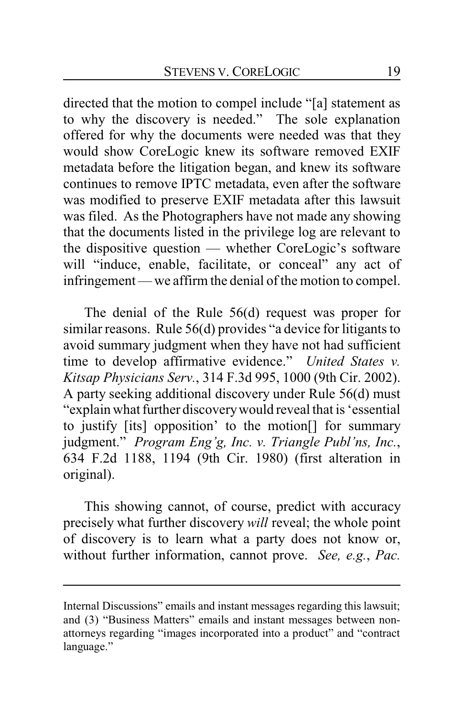directed that the motion to compel include "[a] statement as to why the discovery is needed." The sole explanation offered for why the documents were needed was that they would show CoreLogic knew its software removed EXIF metadata before the litigation began, and knew its software continues to remove IPTC metadata, even after the software was modified to preserve EXIF metadata after this lawsuit was filed. As the Photographers have not made any showing that the documents listed in the privilege log are relevant to the dispositive question — whether CoreLogic's software will "induce, enable, facilitate, or conceal" any act of infringement — we affirm the denial of the motion to compel.

The denial of the Rule 56(d) request was proper for similar reasons. Rule 56(d) provides "a device for litigants to avoid summary judgment when they have not had sufficient time to develop affirmative evidence." *United States v. Kitsap Physicians Serv.*, 314 F.3d 995, 1000 (9th Cir. 2002). A party seeking additional discovery under Rule 56(d) must "explain what further discoverywould reveal that is 'essential to justify [its] opposition' to the motion[] for summary judgment." *Program Eng'g, Inc. v. Triangle Publ'ns, Inc.*, 634 F.2d 1188, 1194 (9th Cir. 1980) (first alteration in original).

This showing cannot, of course, predict with accuracy precisely what further discovery *will* reveal; the whole point of discovery is to learn what a party does not know or, without further information, cannot prove. *See, e.g.*, *Pac.*

Internal Discussions" emails and instant messages regarding this lawsuit; and (3) "Business Matters" emails and instant messages between nonattorneys regarding "images incorporated into a product" and "contract language."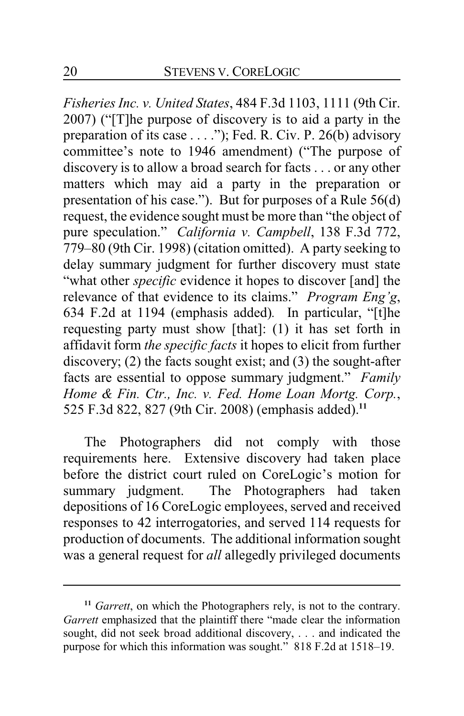*Fisheries Inc. v. United States*, 484 F.3d 1103, 1111 (9th Cir. 2007) ("[T]he purpose of discovery is to aid a party in the preparation of its case . . . ."); Fed. R. Civ. P. 26(b) advisory committee's note to 1946 amendment) ("The purpose of discovery is to allow a broad search for facts . . . or any other matters which may aid a party in the preparation or presentation of his case."). But for purposes of a Rule 56(d) request, the evidence sought must be more than "the object of pure speculation." *California v. Campbell*, 138 F.3d 772, 779–80 (9th Cir. 1998) (citation omitted). A party seeking to delay summary judgment for further discovery must state "what other *specific* evidence it hopes to discover [and] the relevance of that evidence to its claims." *Program Eng'g*, 634 F.2d at 1194 (emphasis added)*.* In particular, "[t]he requesting party must show [that]: (1) it has set forth in affidavit form *the specific facts* it hopes to elicit from further discovery; (2) the facts sought exist; and (3) the sought-after facts are essential to oppose summary judgment." *Family Home & Fin. Ctr., Inc. v. Fed. Home Loan Mortg. Corp.*, 525 F.3d 822, 827 (9th Cir. 2008) (emphasis added).**<sup>11</sup>**

The Photographers did not comply with those requirements here. Extensive discovery had taken place before the district court ruled on CoreLogic's motion for summary judgment. The Photographers had taken depositions of 16 CoreLogic employees, served and received responses to 42 interrogatories, and served 114 requests for production of documents. The additional information sought was a general request for *all* allegedly privileged documents

<sup>&</sup>lt;sup>11</sup> *Garrett*, on which the Photographers rely, is not to the contrary. *Garrett* emphasized that the plaintiff there "made clear the information sought, did not seek broad additional discovery, . . . and indicated the purpose for which this information was sought." 818 F.2d at 1518–19.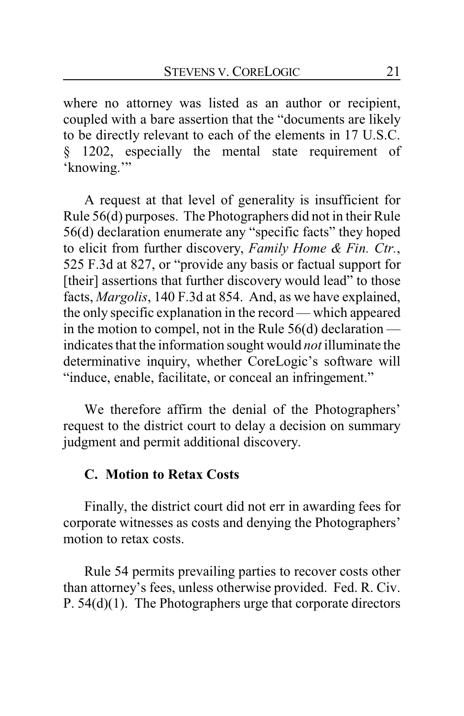where no attorney was listed as an author or recipient, coupled with a bare assertion that the "documents are likely to be directly relevant to each of the elements in 17 U.S.C. § 1202, especially the mental state requirement of 'knowing."

A request at that level of generality is insufficient for Rule 56(d) purposes. The Photographers did not in their Rule 56(d) declaration enumerate any "specific facts" they hoped to elicit from further discovery, *Family Home & Fin. Ctr.*, 525 F.3d at 827, or "provide any basis or factual support for [their] assertions that further discovery would lead" to those facts, *Margolis*, 140 F.3d at 854. And, as we have explained, the only specific explanation in the record — which appeared in the motion to compel, not in the Rule  $56(d)$  declaration indicates that the information sought would *not* illuminate the determinative inquiry, whether CoreLogic's software will "induce, enable, facilitate, or conceal an infringement."

We therefore affirm the denial of the Photographers' request to the district court to delay a decision on summary judgment and permit additional discovery.

### **C. Motion to Retax Costs**

Finally, the district court did not err in awarding fees for corporate witnesses as costs and denying the Photographers' motion to retax costs.

Rule 54 permits prevailing parties to recover costs other than attorney's fees, unless otherwise provided. Fed. R. Civ. P. 54(d)(1). The Photographers urge that corporate directors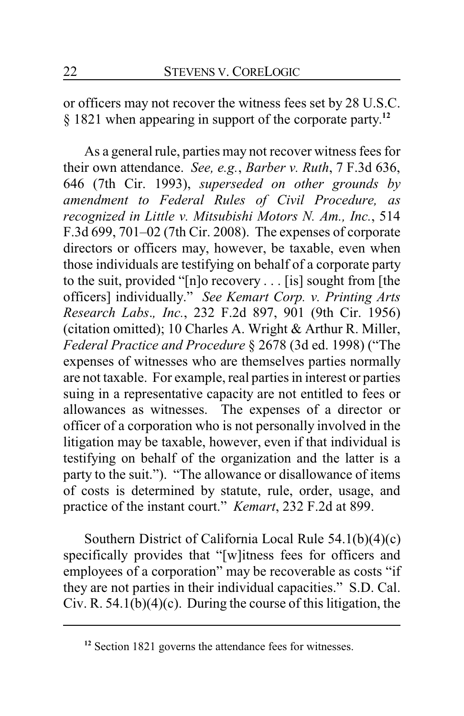or officers may not recover the witness fees set by 28 U.S.C. § 1821 when appearing in support of the corporate party. **12**

As a general rule, parties may not recover witness fees for their own attendance. *See, e.g.*, *Barber v. Ruth*, 7 F.3d 636, 646 (7th Cir. 1993), *superseded on other grounds by amendment to Federal Rules of Civil Procedure, as recognized in Little v. Mitsubishi Motors N. Am., Inc.*, 514 F.3d 699, 701–02 (7th Cir. 2008). The expenses of corporate directors or officers may, however, be taxable, even when those individuals are testifying on behalf of a corporate party to the suit, provided "[n]o recovery . . . [is] sought from [the officers] individually." *See Kemart Corp. v. Printing Arts Research Labs*.*, Inc.*, 232 F.2d 897, 901 (9th Cir. 1956) (citation omitted); 10 Charles A. Wright & Arthur R. Miller, *Federal Practice and Procedure* § 2678 (3d ed. 1998) ("The expenses of witnesses who are themselves parties normally are not taxable. For example, real parties in interest or parties suing in a representative capacity are not entitled to fees or allowances as witnesses. The expenses of a director or officer of a corporation who is not personally involved in the litigation may be taxable, however, even if that individual is testifying on behalf of the organization and the latter is a party to the suit."). "The allowance or disallowance of items of costs is determined by statute, rule, order, usage, and practice of the instant court." *Kemart*, 232 F.2d at 899.

Southern District of California Local Rule 54.1(b)(4)(c) specifically provides that "[w]itness fees for officers and employees of a corporation" may be recoverable as costs "if they are not parties in their individual capacities." S.D. Cal. Civ. R.  $54.1(b)(4)(c)$ . During the course of this litigation, the

**<sup>12</sup>** Section 1821 governs the attendance fees for witnesses.